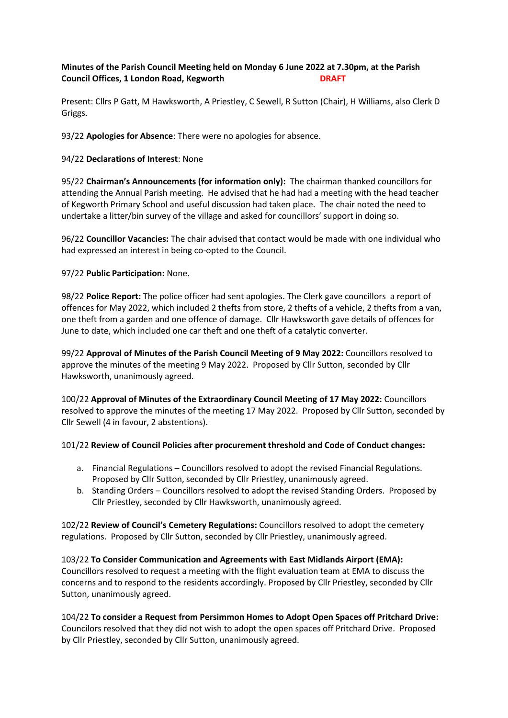# **Minutes of the Parish Council Meeting held on Monday 6 June 2022 at 7.30pm, at the Parish Council Offices, 1 London Road, Kegworth DRAFT**

Present: Cllrs P Gatt, M Hawksworth, A Priestley, C Sewell, R Sutton (Chair), H Williams, also Clerk D Griggs.

93/22 **Apologies for Absence**: There were no apologies for absence.

## 94/22 **Declarations of Interest**: None

95/22 **Chairman's Announcements (for information only):** The chairman thanked councillors for attending the Annual Parish meeting. He advised that he had had a meeting with the head teacher of Kegworth Primary School and useful discussion had taken place. The chair noted the need to undertake a litter/bin survey of the village and asked for councillors' support in doing so.

96/22 **Councillor Vacancies:** The chair advised that contact would be made with one individual who had expressed an interest in being co-opted to the Council.

97/22 **Public Participation:** None.

98/22 **Police Report:** The police officer had sent apologies. The Clerk gave councillors a report of offences for May 2022, which included 2 thefts from store, 2 thefts of a vehicle, 2 thefts from a van, one theft from a garden and one offence of damage. Cllr Hawksworth gave details of offences for June to date, which included one car theft and one theft of a catalytic converter.

99/22 **Approval of Minutes of the Parish Council Meeting of 9 May 2022:** Councillors resolved to approve the minutes of the meeting 9 May 2022. Proposed by Cllr Sutton, seconded by Cllr Hawksworth, unanimously agreed.

100/22 **Approval of Minutes of the Extraordinary Council Meeting of 17 May 2022:** Councillors resolved to approve the minutes of the meeting 17 May 2022. Proposed by Cllr Sutton, seconded by Cllr Sewell (4 in favour, 2 abstentions).

#### 101/22 **Review of Council Policies after procurement threshold and Code of Conduct changes:**

- a. Financial Regulations Councillors resolved to adopt the revised Financial Regulations. Proposed by Cllr Sutton, seconded by Cllr Priestley, unanimously agreed.
- b. Standing Orders Councillors resolved to adopt the revised Standing Orders. Proposed by Cllr Priestley, seconded by Cllr Hawksworth, unanimously agreed.

102/22 **Review of Council's Cemetery Regulations:** Councillors resolved to adopt the cemetery regulations. Proposed by Cllr Sutton, seconded by Cllr Priestley, unanimously agreed.

103/22 **To Consider Communication and Agreements with East Midlands Airport (EMA):**  Councillors resolved to request a meeting with the flight evaluation team at EMA to discuss the concerns and to respond to the residents accordingly. Proposed by Cllr Priestley, seconded by Cllr Sutton, unanimously agreed.

104/22 **To consider a Request from Persimmon Homes to Adopt Open Spaces off Pritchard Drive:**  Councilors resolved that they did not wish to adopt the open spaces off Pritchard Drive.Proposed by Cllr Priestley, seconded by Cllr Sutton, unanimously agreed.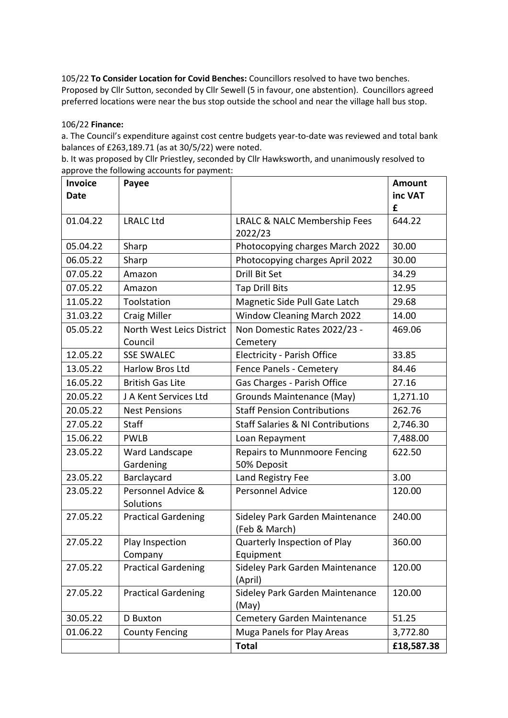105/22 **To Consider Location for Covid Benches:** Councillors resolved to have two benches. Proposed by Cllr Sutton, seconded by Cllr Sewell (5 in favour, one abstention). Councillors agreed preferred locations were near the bus stop outside the school and near the village hall bus stop.

### 106/22 **Finance:**

a. The Council's expenditure against cost centre budgets year-to-date was reviewed and total bank balances of £263,189.71 (as at 30/5/22) were noted.

| b. It was proposed by Cllr Priestley, seconded by Cllr Hawksworth, and unanimously resolved to |  |
|------------------------------------------------------------------------------------------------|--|
| approve the following accounts for payment:                                                    |  |

| <b>Invoice</b> | Payee                      |                                                  | <b>Amount</b> |
|----------------|----------------------------|--------------------------------------------------|---------------|
| <b>Date</b>    |                            |                                                  | inc VAT       |
|                |                            |                                                  | £             |
| 01.04.22       | <b>LRALC Ltd</b>           | LRALC & NALC Membership Fees                     | 644.22        |
|                |                            | 2022/23                                          |               |
| 05.04.22       | Sharp                      | Photocopying charges March 2022                  | 30.00         |
| 06.05.22       | Sharp                      | Photocopying charges April 2022                  | 30.00         |
| 07.05.22       | Amazon                     | <b>Drill Bit Set</b>                             | 34.29         |
| 07.05.22       | Amazon                     | <b>Tap Drill Bits</b>                            | 12.95         |
| 11.05.22       | Toolstation                | Magnetic Side Pull Gate Latch                    | 29.68         |
| 31.03.22       | <b>Craig Miller</b>        | Window Cleaning March 2022                       | 14.00         |
| 05.05.22       | North West Leics District  | Non Domestic Rates 2022/23 -                     | 469.06        |
|                | Council                    | Cemetery                                         |               |
| 12.05.22       | <b>SSE SWALEC</b>          | <b>Electricity - Parish Office</b>               | 33.85         |
| 13.05.22       | Harlow Bros Ltd            | Fence Panels - Cemetery                          | 84.46         |
| 16.05.22       | <b>British Gas Lite</b>    | Gas Charges - Parish Office                      | 27.16         |
| 20.05.22       | J A Kent Services Ltd      | Grounds Maintenance (May)                        | 1,271.10      |
| 20.05.22       | <b>Nest Pensions</b>       | <b>Staff Pension Contributions</b>               | 262.76        |
| 27.05.22       | <b>Staff</b>               | <b>Staff Salaries &amp; NI Contributions</b>     | 2,746.30      |
| 15.06.22       | <b>PWLB</b>                | Loan Repayment                                   | 7,488.00      |
| 23.05.22       | Ward Landscape             | <b>Repairs to Munnmoore Fencing</b>              | 622.50        |
|                | Gardening                  | 50% Deposit                                      |               |
| 23.05.22       | Barclaycard                | Land Registry Fee                                | 3.00          |
| 23.05.22       | Personnel Advice &         | <b>Personnel Advice</b>                          | 120.00        |
|                | Solutions                  |                                                  |               |
| 27.05.22       | <b>Practical Gardening</b> | Sideley Park Garden Maintenance<br>(Feb & March) | 240.00        |
| 27.05.22       | Play Inspection            | Quarterly Inspection of Play                     | 360.00        |
|                | Company                    | Equipment                                        |               |
| 27.05.22       | <b>Practical Gardening</b> | Sideley Park Garden Maintenance                  | 120.00        |
|                |                            | (April)                                          |               |
| 27.05.22       | <b>Practical Gardening</b> | Sideley Park Garden Maintenance                  | 120.00        |
|                |                            | (May)                                            |               |
| 30.05.22       | <b>D</b> Buxton            | Cemetery Garden Maintenance                      | 51.25         |
| 01.06.22       | <b>County Fencing</b>      | Muga Panels for Play Areas                       | 3,772.80      |
|                |                            | <b>Total</b>                                     | £18,587.38    |